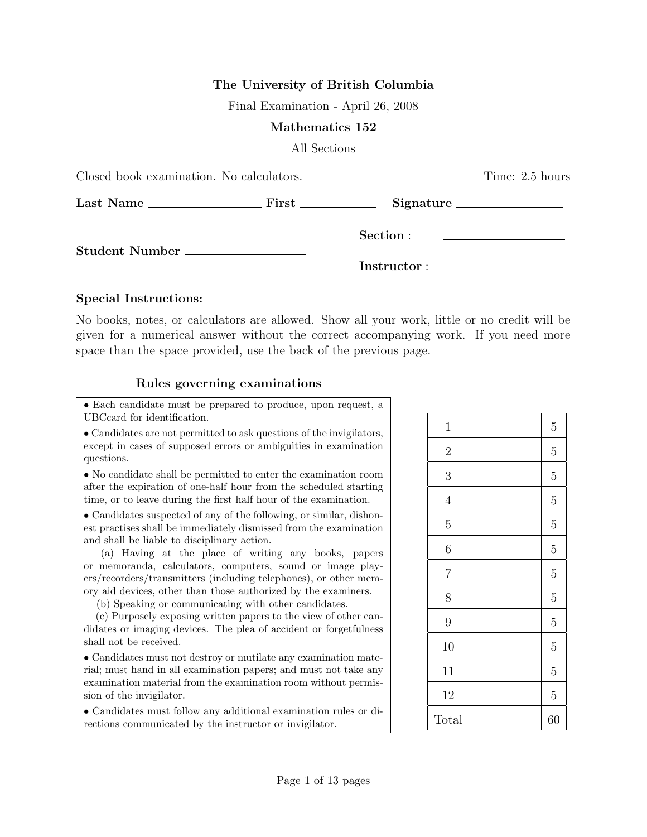## The University of British Columbia

Final Examination - April 26, 2008

## Mathematics 152

All Sections

| Closed book examination. No calculators. |  | Time: 2.5 hours |                                                                            |
|------------------------------------------|--|-----------------|----------------------------------------------------------------------------|
|                                          |  |                 |                                                                            |
| Student Number __________________        |  | Section :       | the control of the control of the control of the control of the control of |
|                                          |  |                 |                                                                            |

## Special Instructions:

No books, notes, or calculators are allowed. Show all your work, little or no credit will be given for a numerical answer without the correct accompanying work. If you need more space than the space provided, use the back of the previous page.

## Rules governing examinations

• Each candidate must be prepared to produce, upon request, a UBCcard for identification.

• Candidates are not permitted to ask questions of the invigilators, except in cases of supposed errors or ambiguities in examination questions.

• No candidate shall be permitted to enter the examination room after the expiration of one-half hour from the scheduled starting time, or to leave during the first half hour of the examination.

• Candidates suspected of any of the following, or similar, dishonest practises shall be immediately dismissed from the examination and shall be liable to disciplinary action.

(a) Having at the place of writing any books, papers or memoranda, calculators, computers, sound or image players/recorders/transmitters (including telephones), or other memory aid devices, other than those authorized by the examiners.

(b) Speaking or communicating with other candidates.

(c) Purposely exposing written papers to the view of other candidates or imaging devices. The plea of accident or forgetfulness shall not be received.

• Candidates must not destroy or mutilate any examination material; must hand in all examination papers; and must not take any examination material from the examination room without permission of the invigilator.

• Candidates must follow any additional examination rules or directions communicated by the instructor or invigilator.

| $\mathbf 1$    | $\overline{5}$ |
|----------------|----------------|
| $\overline{2}$ | $\overline{5}$ |
| 3              | $\overline{5}$ |
| $\overline{4}$ | $\overline{5}$ |
| $\overline{5}$ | $\overline{5}$ |
| 6              | $\overline{5}$ |
| $\overline{7}$ | $\overline{5}$ |
| 8              | $\overline{5}$ |
| 9              | $\overline{5}$ |
| 10             | $\overline{5}$ |
| 11             | $\overline{5}$ |
| 12             | $\overline{5}$ |
| Total          | 60             |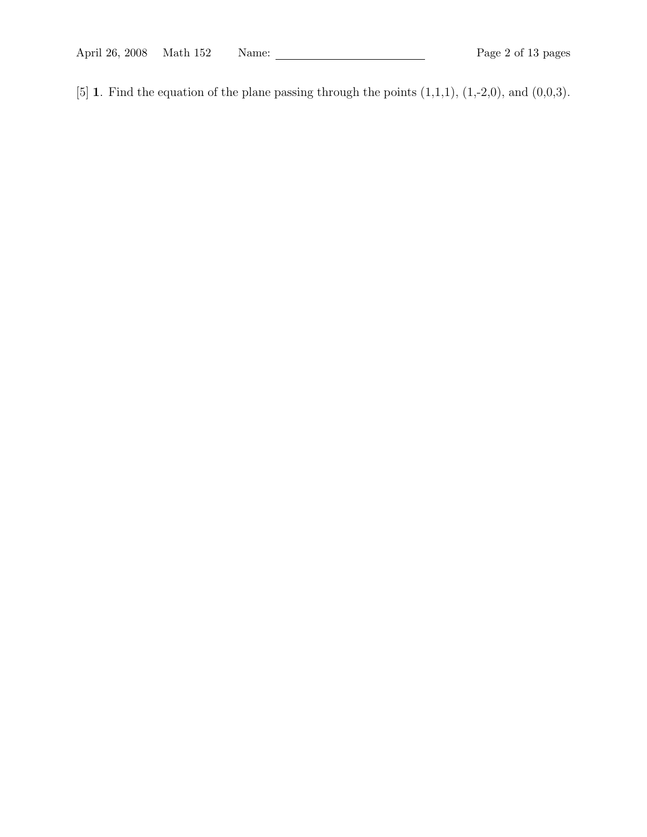April 26, 2008 Math 152 Name: 2008 Math 152 Name: 2008 Page 2 of 13 pages

[5] 1. Find the equation of the plane passing through the points  $(1,1,1)$ ,  $(1,-2,0)$ , and  $(0,0,3)$ .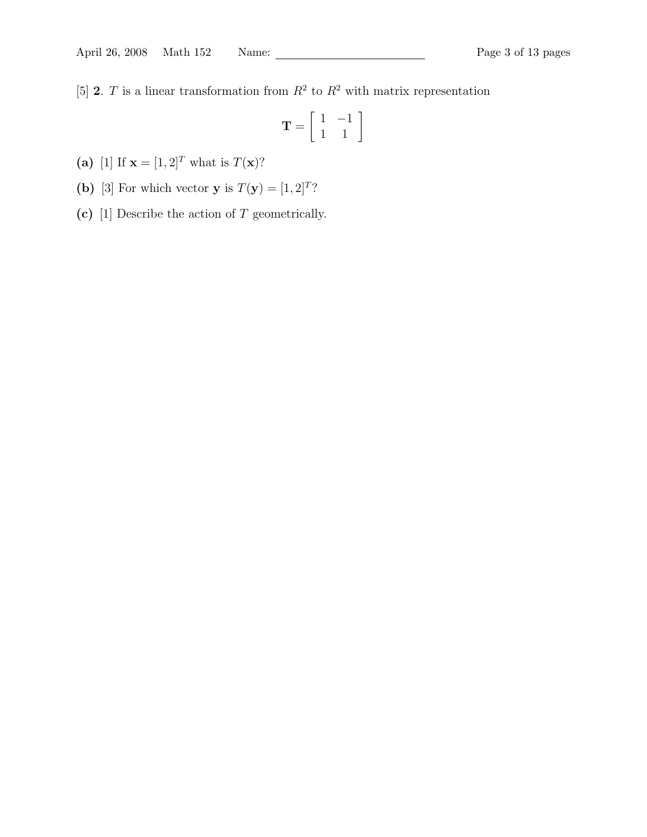[5] **2**. T is a linear transformation from  $R^2$  to  $R^2$  with matrix representation

$$
\mathbf{T} = \left[ \begin{array}{rr} 1 & -1 \\ 1 & 1 \end{array} \right]
$$

- (a) [1] If  ${\bf x} = [1, 2]^T$  what is  $T({\bf x})$ ?
- (b) [3] For which vector **y** is  $T(y) = [1, 2]^T$ ?
- (c)  $[1]$  Describe the action of T geometrically.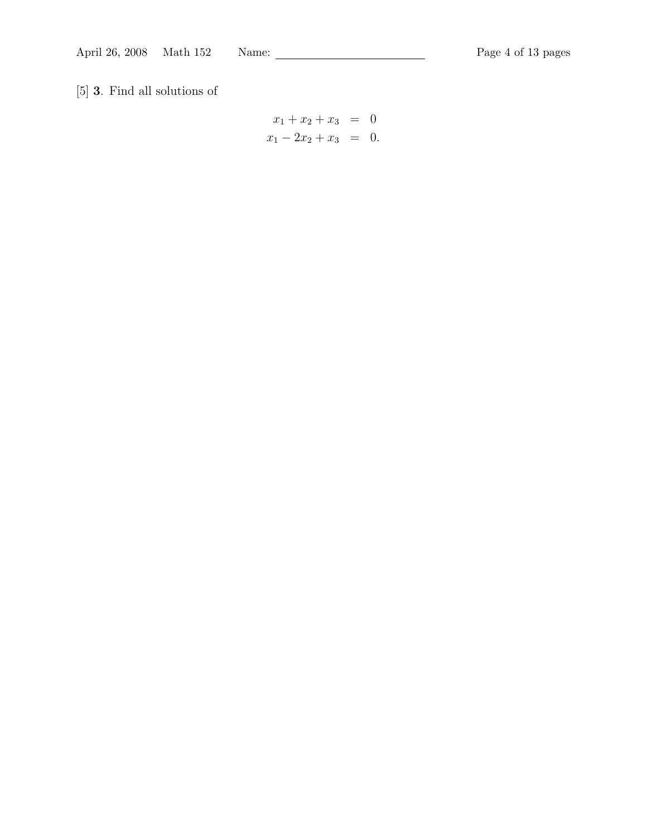[5] 3. Find all solutions of

$$
x_1 + x_2 + x_3 = 0
$$
  

$$
x_1 - 2x_2 + x_3 = 0.
$$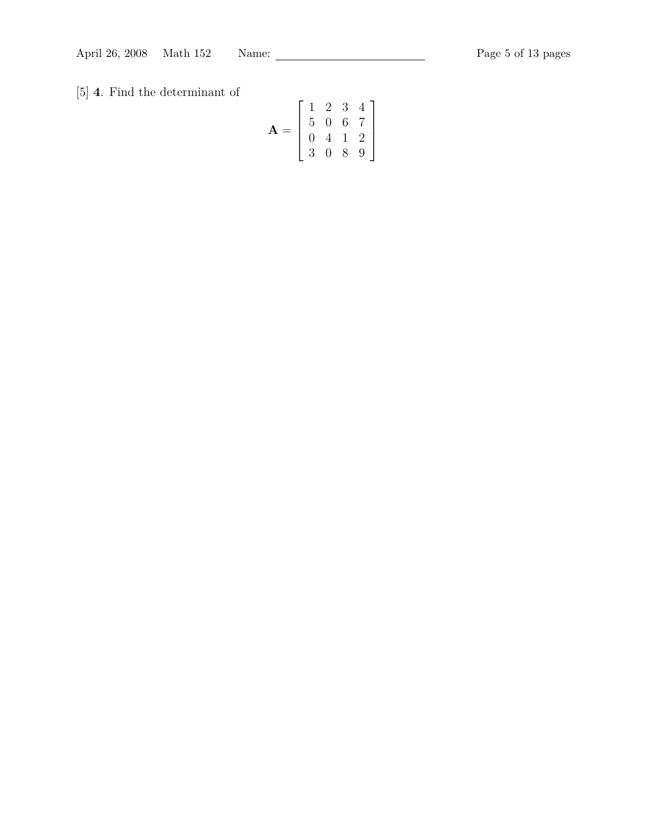[5] 4. Find the determinant of

$$
\mathbf{A} = \left[ \begin{array}{rrrr} 1 & 2 & 3 & 4 \\ 5 & 0 & 6 & 7 \\ 0 & 4 & 1 & 2 \\ 3 & 0 & 8 & 9 \end{array} \right]
$$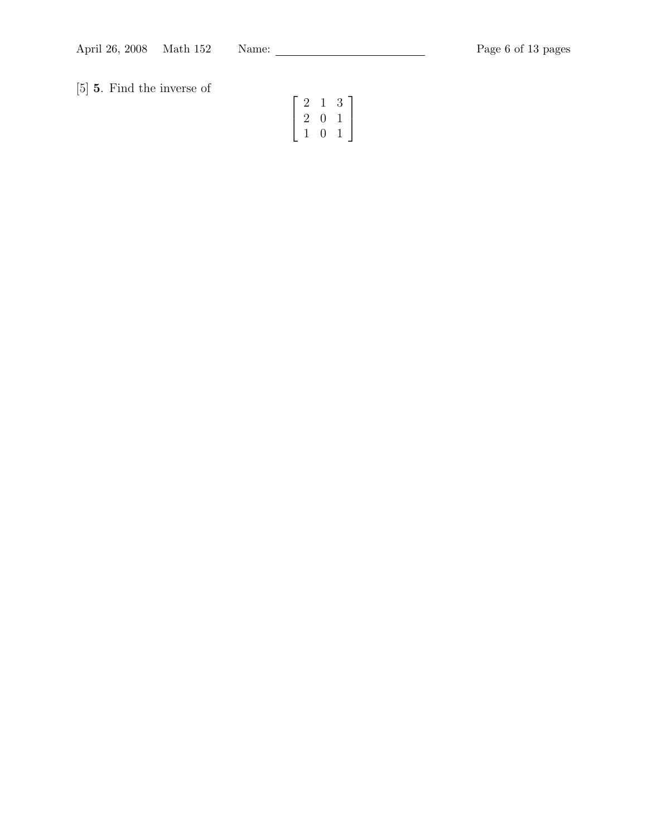[5] 5. Find the inverse of

$$
\left[\begin{array}{ccc}2&1&3\\2&0&1\\1&0&1\end{array}\right]
$$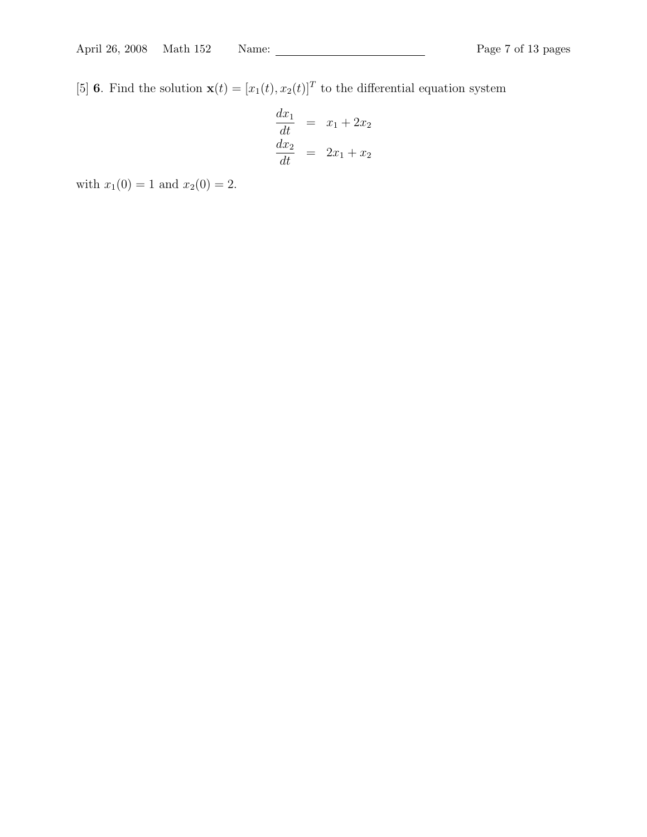[5] **6**. Find the solution  $\mathbf{x}(t) = [x_1(t), x_2(t)]^T$  to the differential equation system

$$
\begin{array}{rcl}\n\frac{dx_1}{dt} & = & x_1 + 2x_2 \\
\frac{dx_2}{dt} & = & 2x_1 + x_2\n\end{array}
$$

with  $x_1(0) = 1$  and  $x_2(0) = 2$ .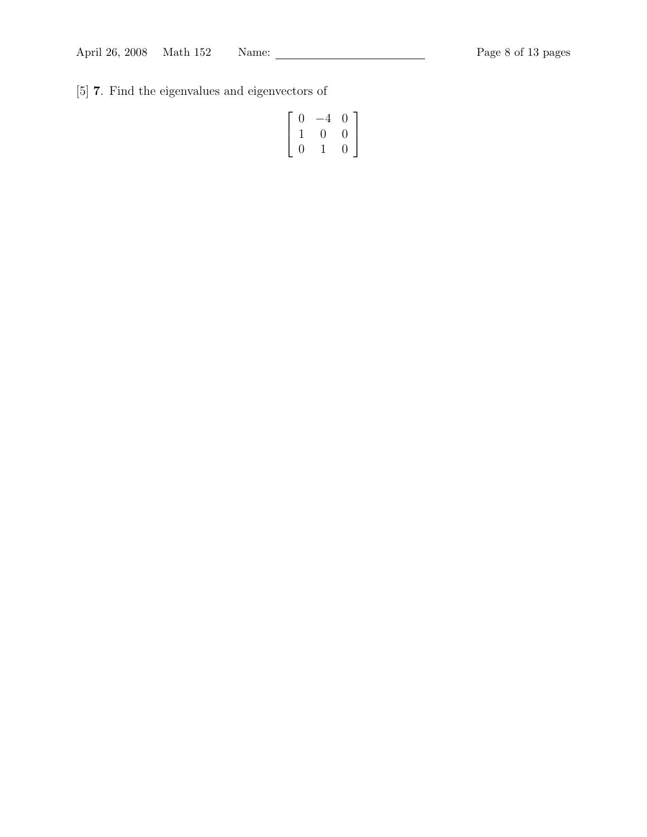[5] 7. Find the eigenvalues and eigenvectors of

$$
\left[\begin{array}{ccc} 0 & -4 & 0 \\ 1 & 0 & 0 \\ 0 & 1 & 0 \end{array}\right]
$$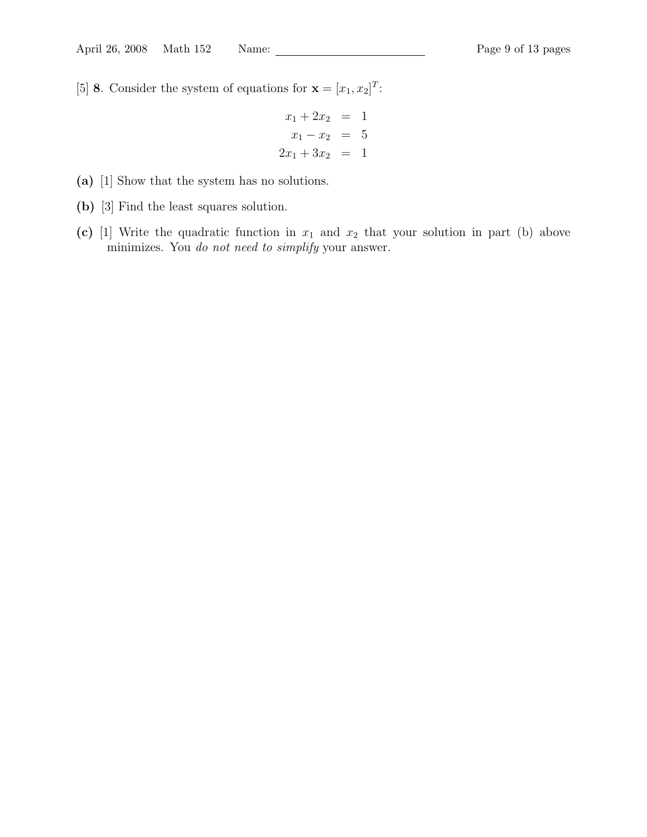[5] **8**. Consider the system of equations for  $\mathbf{x} = [x_1, x_2]^T$ :

$$
x_1 + 2x_2 = 1
$$
  

$$
x_1 - x_2 = 5
$$
  

$$
2x_1 + 3x_2 = 1
$$

- (a) [1] Show that the system has no solutions.
- (b) [3] Find the least squares solution.
- (c) [1] Write the quadratic function in  $x_1$  and  $x_2$  that your solution in part (b) above minimizes. You do not need to simplify your answer.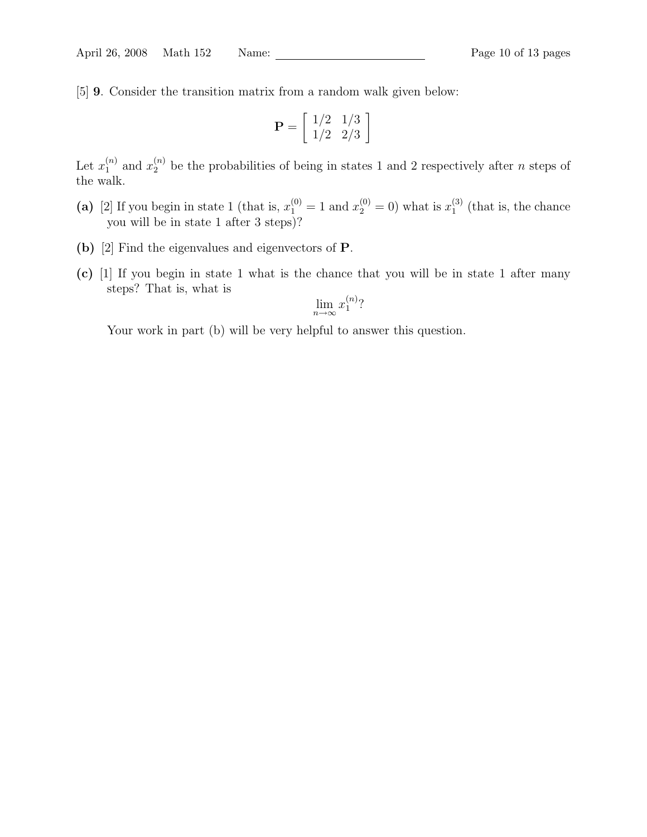[5] 9. Consider the transition matrix from a random walk given below:

$$
\mathbf{P} = \left[ \begin{array}{cc} 1/2 & 1/3 \\ 1/2 & 2/3 \end{array} \right]
$$

Let  $x_1^{(n)}$  $\binom{n}{1}$  and  $x_2^{(n)}$  be the probabilities of being in states 1 and 2 respectively after *n* steps of the walk.

- (a) [2] If you begin in state 1 (that is,  $x_1^{(0)} = 1$  and  $x_2^{(0)} = 0$ ) what is  $x_1^{(3)}$  $_1^{(3)}$  (that is, the chance you will be in state 1 after 3 steps)?
- (b) [2] Find the eigenvalues and eigenvectors of P.
- (c) [1] If you begin in state 1 what is the chance that you will be in state 1 after many steps? That is, what is

$$
\lim_{n \to \infty} x_1^{(n)}
$$
?

Your work in part (b) will be very helpful to answer this question.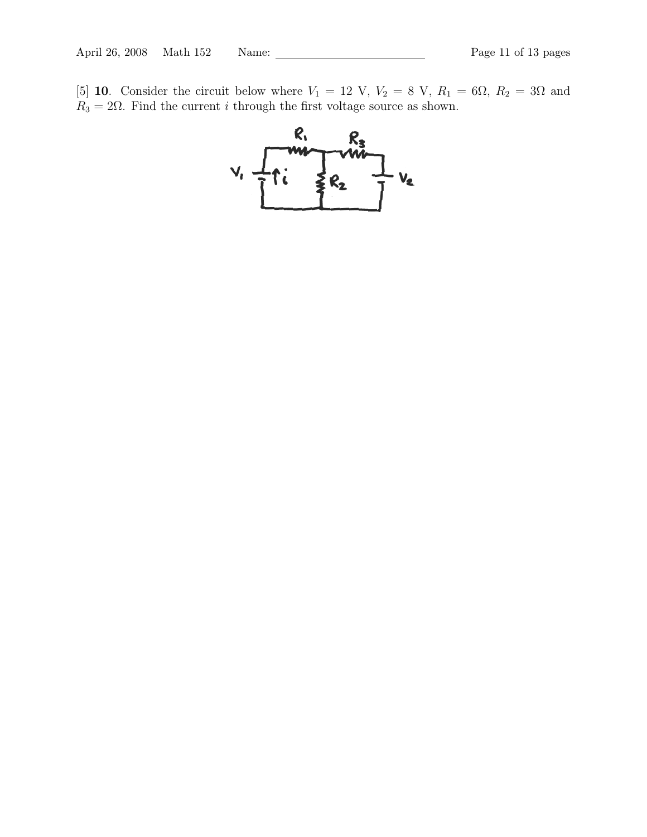[5] 10. Consider the circuit below where  $V_1 = 12 \text{ V}, V_2 = 8 \text{ V}, R_1 = 6\Omega, R_2 = 3\Omega$  and  $R_3 = 2\Omega$ . Find the current *i* through the first voltage source as shown.

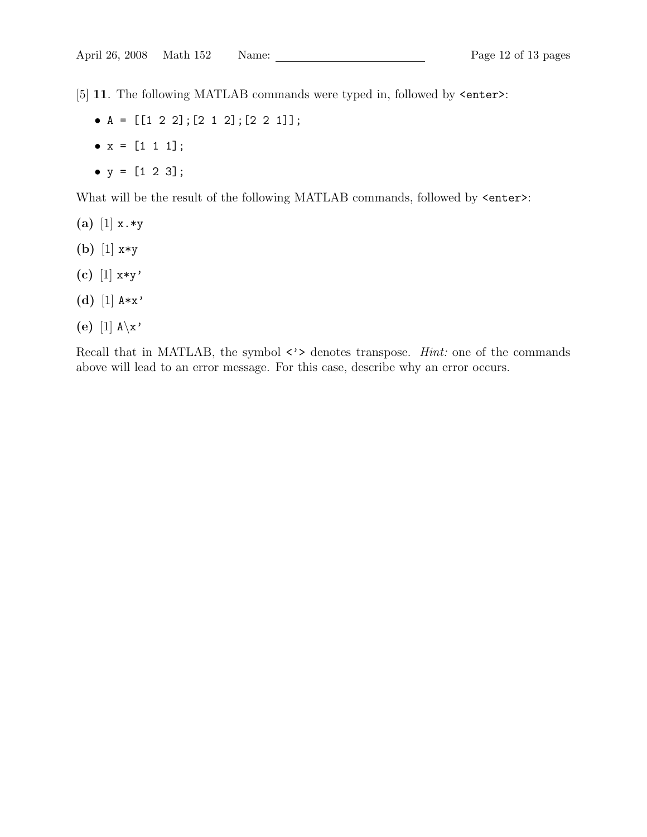[5] 11. The following MATLAB commands were typed in, followed by <enter>:

- $A = [[1 2 2]; [2 1 2]; [2 2 1]]$ ;
- $x = [1 \ 1 \ 1];$
- $y = [1 2 3];$

What will be the result of the following MATLAB commands, followed by  $\leq$ nter>:

- (a) [1]  $x.*y$
- (b) [1] x\*y
- (c)  $[1]$  x\*y'
- (d) [1]  $A \ast x'$
- (e) [1]  $A \x$ '

Recall that in MATLAB, the symbol  $\langle \cdot \rangle$  denotes transpose. *Hint*: one of the commands above will lead to an error message. For this case, describe why an error occurs.